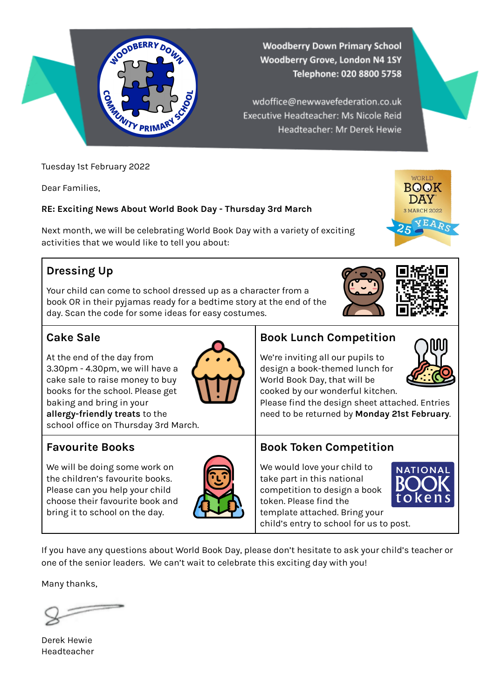

Tuesday 1st February 2022

Dear Families,

#### **RE: Exciting News About World Book Day - Thursday 3rd March**

Next month, we will be celebrating World Book Day with a variety of exciting activities that we would like to tell you about:

### **Dressing Up**

Your child can come to school dressed up as a character from a book OR in their pyjamas ready for a bedtime story at the end of the day. Scan the code for some ideas for easy costumes.

#### **Cake Sale**

At the end of the day from 3.30pm - 4.30pm, we will have a cake sale to raise money to buy books for the school. Please get baking and bring in your **allergy-friendly treats** to the school office on Thursday 3rd March.

### **Favourite Books**

We will be doing some work on the children's favourite books. Please can you help your child choose their favourite book and bring it to school on the day.



#### **Book Lunch Competition**

We're inviting all our pupils to design a book-themed lunch for World Book Day, that will be cooked by our wonderful kitchen.

Please find the design sheet attached. Entries need to be returned by **Monday 21st February**.

#### **Book Token Competition**

We would love your child to take part in this national competition to design a book token. Please find the template attached. Bring your child's entry to school for us to post.

**NATIONAL** 

If you have any questions about World Book Day, please don't hesitate to ask your child's teacher or one of the senior leaders. We can't wait to celebrate this exciting day with you!

Many thanks,

Derek Hewie Headteacher









WORLD **BOOK** DAY 3 MARCH 2022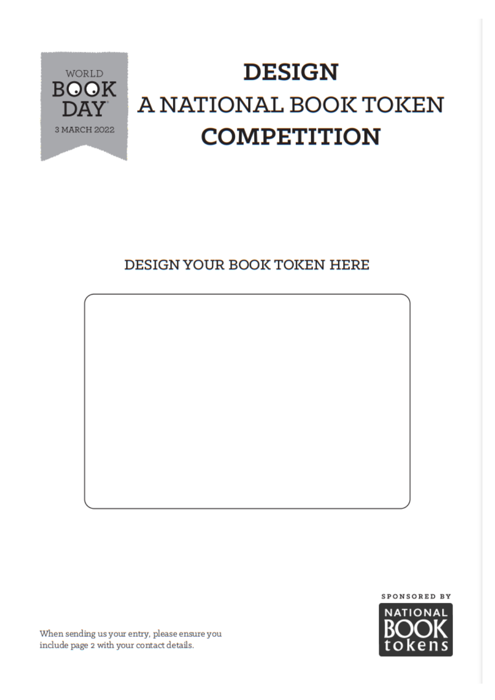

## **DESIGN** A NATIONAL BOOK TOKEN **COMPETITION**

### DESIGN YOUR BOOK TOKEN HERE





When sending us your entry, please ensure you include page 2 with your contact details.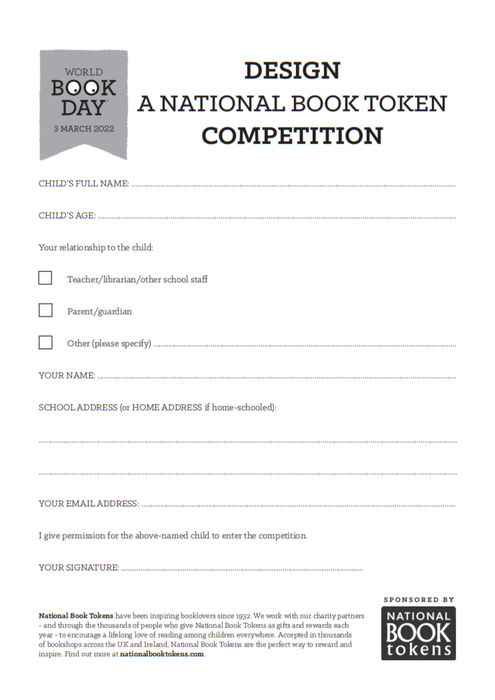

# **DESIGN** A NATIONAL BOOK TOKEN **COMPETITION**

| Your relationship to the child:                                       |  |  |  |
|-----------------------------------------------------------------------|--|--|--|
| L<br>Teacher/librarian/other school staff                             |  |  |  |
| Parent/guardian                                                       |  |  |  |
|                                                                       |  |  |  |
|                                                                       |  |  |  |
| SCHOOL ADDRESS (or HOME ADDRESS if home-schooled):                    |  |  |  |
|                                                                       |  |  |  |
|                                                                       |  |  |  |
|                                                                       |  |  |  |
| I give permission for the above-named child to enter the competition. |  |  |  |
|                                                                       |  |  |  |

National Book Tokens have been inspiring booklovers since 1932. We work with our charity partners - and through the thousands of people who give National Book Tokens as gifts and rewards each year - to encourage a lifelong love of reading among children everywhere. Accepted in thousands of bookshops across the UK and Ireland, National Book Tokens are the perfect way to reward and inspire. Find out more at nationalbooktokens.com.

SPONSORED BY